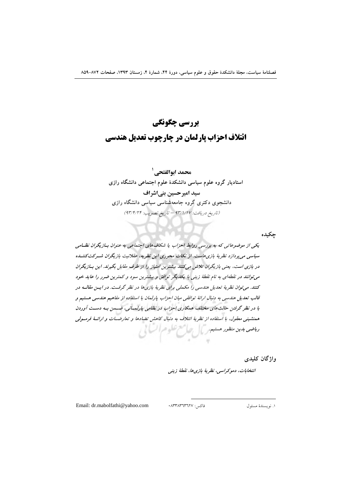# بررسي چگونگي ائتلاف احزاب یارلمان در چارچوب تعدیل هندسی

محمد ابوالفتحي <sup>ا</sup> استادیار گروه علوم سیاسی دانشکدهٔ علوم اجتماعی دانشگاه رازی سید امیر حسین بنے اشراف دانشجوی دکتری گروه جامعهشناسی سیاسی دانشگاه رازی (تاريخ دريافت: ٩٣/١/١٧ - تاريخ تصويب: ٩٣/٤/٢٤)

جكيده

یکی از موضوعاتی که به بررسی روابط احزاب یا شکاف های اجتماعی به عنوان بیازیگران نظـامی سیاسی می بر دازد نظر بهٔ بازی هاست. از نکات محوری این نظر به، عقلانیت بازیگران شیرکت کننسده در بازی است، یعنی بازیگران تلاش میکنند بیشترین امتیاز را از طرف مقابل بگیرند. این بازیگران می توانند در نقطهای به نام نقطهٔ زینی با یکدیگر توافق و بیشترین سود و کمترین ضرر را عاید خود کنند. می توان نظریهٔ تعدیل هندسی را مکملی برای نظریهٔ بازی ها در نظر گرفت. در ایس مقالبه در قالب تعدیل هندسی به دنبال ارائهٔ توافقی میان احزاب پارلمان با استفاده از مفاهیم هندسی هستیم و با در نظر گرفتن حالت های مختلف همکاری احزاب در نظامی بارلمسانی، ضعمن به دست آوردن همنشینی معقول، با استفاده از نظریهٔ ائتلاف به دنبال کاهش تضادها و تعارضـات و ارائــهٔ فرمــولی ویاضی بدین منظور حستیم کے استعمال کے اس ایک ا

واژگان کلیدی

انتخابات، دموكراسي، نظرية بازي ها، نقطة زيني

Email: dr.mabolfathi@yahoo.com

فاكس: ٨٣٣٨٣٦٣٦٢٧.

١. نويسندهٔ مسئول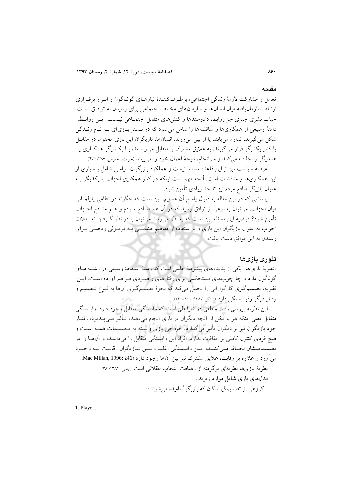#### مقدمه

 $A9.$ 

تعامل و مشارکت لازمهٔ زندگی اجتماعی، برطرفکننـدهٔ نیازهـای گونـاگون و ابـزار برقـراری ارتباط سازمانیافته میان انسان ها و سازمان های مختلف اجتماعی برای رسیدن به توافتی است. حیات بشری چیزی جز روابط، دادوستدها و کنشهای متقابل اجتمــاعی نیــست. ایــن روابــط، دامنهٔ وسیعی از همکاریها و مناقشهها را شامل میشود که در بـستر بـازیای بـه نـام زنـدگی شکل می گیرند، تداوم می پابند یا از بین می روند. انسانها، بازیگران این بازی محتوم، در مقابـل یا کنار یکدیگر قرار می گیرند، به علایق مشترک یا متقابل می رسـند، بـا یکـدیگر همکـاری یـا همديگر را حذف مي كنند و سرانجام، نتيجهٔ اعمال خود را مي بينند (جوادي، عمومي، ١٣٨٧: ۴٧).

عرصهٔ سیاست نیز از این قاعده مستثنا نیست و عملکرد بازیگران سیاسی شامل بـسیاری از این همکاریها و مناقشات است. آنچه مهم است اینکه در کنار همکاری احزاب با یکدیگر بـه عنوان بازیگر منافع مردم نیز تا حد زیادی تأمین شود.

پرسشی که در این مقاله به دنبال پاسخ آن هستیم، این است که چگونه در نظامی پارلمـانی میان احزاب، می توان به نوعی از توافق رسید که در آن هم منافع مـردم و هـم منـافع احـزاب تأمین شود؟ فرضیهٔ این مسئله این است که به نظر میرسد می توان با در نظر گـرفتن تعـاملات احزاب به عنوان بازیگران این بازی و با استفاده از مفاهیم هندستی بـه فرمـولی ریاضـبی بـرای رسيدن به اين توافق دست يافت.

#### تئورى بازىها

«نظریهٔ بازیها» یکی از یدیدههای پیشرفتهٔ علمی است که زمینهٔ استفادهٔ وسیعی در رشتههـای گوناگون دارد و چارچوبهای مستحکمی برای رفتارهای راهبـردی فـراهم أورده اسـت. ایــن نظریه، تصمیم گیری کارگزارانی را تحلیل میکند که نحوهٔ تصمیمگیری آنها به نـوع تـصمیم و رفتار دیگر رقبا بستگی دارد (دادگر، ۱۳۸۷: ۱۰۱–۱۴۰).

این نظریه بررسی رفتار منطقی در شرایطی است که وابستگی متقابل وجود دارد. وابــستگی متقابل یعنی اینکه هر بازیکن از آنچه دیگران در بازی انجام میدهند، تـأثیر مـیLندیرد، رفتـار خود بازیگران نیز بر دیگران تأثیر میگذارد، خروجی بازی وابسته به تـصمیمات همـه اسـت و هیچ فردی کنترل کاملی بر اتفاقات ندارد. افراد این وابستگی متقابل را میداننـد، و آن۱هـا را در تصميماتـشان لحـاظ مـىكننـد، ايـن وابـستگى اغلـب بـين بـازيگران رقابـت بـه وجـود مي آورد و علاوه بر رقابت، علايق مشترك نيز بين آنها وجود دارد (Mac Millan, 1996: 246). نظريهٔ بازيها نظريهاي برگرفته از رهيافت انتخاب عقلاني است (چلبي، ١٣٨١: ٣٨). مدلهای بازی شامل موارد زیرند: ۔گروہی از تصمیمگیرندگان که بازیگر ' نامیده میشوند؛

1. Player.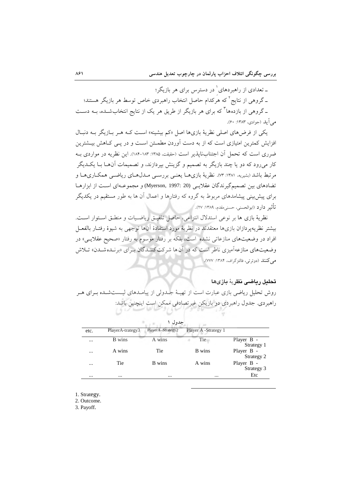ـ تعدادي از راهبردهاي ٰ در دسترس براي هر بازيگر؛ \_گروهی از نتایج ٌ که هرکدام حاصل انتخاب راهبردی خاص توسط هر بازیگر هستند؛ ـ گروهی از بازدهها<sup>۳</sup> که برای هر بازیگر از طریق هر یک از نتایج انتخابشــده، بــه دســت مبر آبلہ (جوادی، ۱۳۸۳: ۶۰).

یکی از فرضهای اصلی نظریهٔ بازیها اصل «کم بیشینه» است کـه هـر بـازیگر بـه دنبـال افزایش کمترین امتیازی است که از به دست آوردن مطمـئن اسـت و در پـی کـاهش بیــشترین ضرري است كه تحمل أن اجتنابانيايذير است (حقيقت، ١٣٨٥: ١٨٣-١٨۴). اين نظريه در مواردي بـه کار می رود که دو یا چند بازیگر به تصمیم و گزینش بیردازند، و تصمیمات آنهــا بــا یکــدیگر مرتبط باشد (بشیریه، ۱۳۸۱: ۰۷۳). نظریهٔ بازیهـا یعنـی بررسـی مـدل۵حای ریاضـی همکـاریهـا و تضادهای بین تصمیم گیرندگان عقلایے (20 :1997 Myerson, 1997) و مجموعـهای اسـت از ابزارهـا برای پیش بینی پیشامدهای مربوط به گروه که رفتارها و اعمال آن ها به طور مستقیم در یکدیگر تأثير دارد (ابوالحسنى، حسنى مقدم، ١٣٨٩: ٢٧).

نظرية بازي ها بر نوعي استدلال انتزاعي، حاصل تلفيـق رياضـيات و منطـق اسـتوار اسـت. بیشتر نظریهپردازان بازیها معتقدند در نظریهٔ مورد استفادهٔ آنها توجهی به شیوهٔ رفتـار بالفعـل افراد در وضعیتهای منازعاتی نشده است، بلکه بر رفتار موسوم به رفتار «صحیح عقلایـی» در وضعیتهای منازعهآمیزی ناظر است که در آنها شرکت کننـدگان بـرای «برنـدهشـدن» تـلاش مي كنند (دوئرتي، فالتزگراف، ١٣٨۴: ٧٧٧).

### تحليل رياضي نظرية بازىها

روش تحلیل ریاضی بازی عبارت است از تهیـهٔ جــدولی از پیامــدهای لیــستشــده بــرای هــر راهبردي. جدول راهبردي دو بازيكن غيرتصادفي ممكن است اينچنين باشد:

| etc.     | PlayerA-trategy3 | PlayerA-Strategy2 | Player A -Strategy 1 |                          |
|----------|------------------|-------------------|----------------------|--------------------------|
| $\cdots$ | <b>B</b> wins    | A wins            | Tie                  | Player B -<br>Strategy 1 |
| $\cdots$ | A wins           | Tie               | B wins               | Player B -<br>Strategy 2 |
| $\cdots$ | Tie              | B wins            | A wins               | Player B -<br>Strategy 3 |
| $\cdots$ | $\cdots$         | $\cdots$          | $\cdots$             | Etc                      |

حدول ١

1. Strategy.

2. Outcome.

3. Payoff.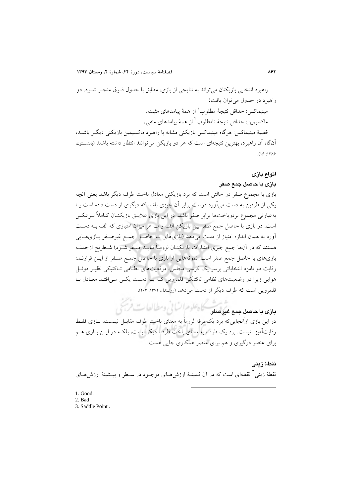راهبرد انتخابی بازیکنان می تواند به نتایجی از بازی، مطابق با جدول فـوق منجـر شـود. دو راهيرد در جدول مي توان بافت: مینیماکس: حداقل نتیجهٔ مطلوب<sup>۱</sup> از همهٔ پیامدهای مثبت. ماكسيمين: حداقل نتيجةُ نامطلوب <sup>٢</sup> از همةُ يبامدهاي منفي. قضیهٔ مینیماکس: هرگاه مینیماکس بازیکنی مشابه با راهبرد ماکسیمین بازیکنی دیگـر باشـد، آنگاه آن راهبرد، بهترین نتیجهای است که هر دو بازیکن می توانند انتظار داشته باشند (پاندستون.

 $(19.147)$ 

#### انواع بازى

#### بازی با حاصل جمع صفر

بازی با مجموع صفر در حالتی است که برد بازیکنی معادل باخت طرف دیگر باشد یعنی آنچه یکی از طرفین به دست می آورد درست برابر آن چیزی باشد که دیگری از دست داده است پـا بهعبارتی مجموع بردوباختها برابر صفر باشد. در این بازی علایــق بازیکنــان کــاملاً بــرعکس است. در بازی با حاصل جمع صفر بین بازیکن الف و ب هر میزان امتیازی که الف بـه دسـت آورد به همان اندازه امتیاز از دست میدهد (بازیهای بـا حاصـل جمـع غیرصـفر بـازیهـایی هستند که در آنها جمع جبری امتیازات بازیکنــان لزومــاً نبایــد صـفر شــود) شـطرنج ازجملــه بازیهای با حاصل جمع صفر است. نمونههایی از بازی با حاصل جمع صفر از ایـن قرارنــد: رقابت دو نامزد انتخاباتی برسر یک کرسی مجلس، موقعیتهای نظـامی تـاکتیکی نظیـر دوئـل هوایی زیرا در وضعیتهای نظامی تاکتیکی قلمرویی کـه بـه دسـت یکـی مـی|فتـد معـادل بـا قلمرویی است که طرف دیگر از دست می دهد (روشندل، ۱۳۷۲: ۲۰۳).

ماذی ما حاصل جدم غیوصف کا پھلوم اٹائی ومطالعات فریخ<br>ماذی ما حاصل جدم غیوصفو کا پھلوم اٹائی ومطالعات فریخ در این بازی ازآنجاییکه برد یکطرفه لزوماً به معنای باخت طرف مقابـل نیـست، بــازی فقــط رقابتآمیز نیست. برد یک طرف به معنای باخت طرف دیگر نیست، بلکـه در ایــن بــازی هــم برای عنصر درگیری و هم برای عنصر همکاری جایی هست.

نقطءٔ زینی نقطهٔ زینی آ نقطهای است که در آن کمینـهٔ ارزش۵حـای موجـود در سـطر و بیــشینهٔ ارزش۵حـای

- 1. Good.
- 2. Bad
- 3. Saddle Point.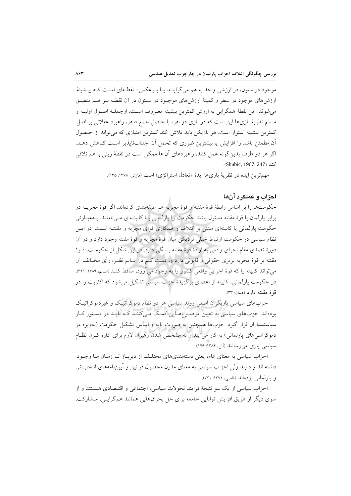موجود در ستون، در ارزشی واحد به هم میگراینــد یــا بــرعکس− نقطــهای اســت کــه بیــشینهٔ ارزشهای موجود در سطر و کمینهٔ ارزشهای موجـود در سـتون در آن نقطـه بـر هــم منطبـق مي شوند. اين نقطهٔ همگرايي به ارزش كمترين بيشينه معـروف اسـت. ازجملـه اصـول اوليــه و مسلم نظریهٔ بازیها این است که در بازی دو نفره با حاصل جمع صفر، راهبرد عقلانی بر اصل کمترین بیشینه استوار است. هر بازیکن باید تلاش کند کمترین امتیازی که می تواند از حـصول آن مطمئن باشد را افزایش یا بیشترین ضرری که تحمل آن اجتنابنایذیر است کـاهش دهـد. اگر هر دو طرف بدین گونه عمل کنند، راهبردهای آن ها ممکن است در نقطهٔ زینی با هم تلاقی كند (Shubic, 1967: 247).

مهمترین ایده در نظریهٔ بازیها ایدهٔ «تعادل استراتژی» است (مارش، ۱۳۷۸: ۱۳۵).

### احزاب و عملکرد آنها

حكومتها را بر اساس رابطهٔ قوهٔ مقننه و قوهٔ مجریه هم طبقهبندی كردهاند. اگر قوهٔ مجریــه در برابر پارلمان یا قوۂ مقننه مسئول باشد حکومت را پارلمانی یا کابینـهای مـیiامنـد. بـهعبـارتی حکومت پارلمانی یا کابینهای مبتنی بر ائتلاف و همکاری قوای مجریه و مقننـه اسـت. در ایـن نظام سیاسی در حکومت ارتباط خیلی نزدیکی میان قوهٔ مجریه و قوهٔ مقننه وجود دارد و در آن دورهٔ تصدی مقام اجرای واقعی به ارادهٔ قوهٔ مقننه بستگی دارد. در این شکل از حکومت، قــوهٔ مقننه بر قوهٔ مجریه برتری حقوقی و قانونی دارد و، دست کـم در عـالم نظـر، رأی مخــالف آن می تواند کابینه را که قوهٔ اجرایی واقعی کشور را به وجود میآورد، ساقط کنـد (عـالم، ۱۳۸۹: ۳۲۱). در حکومت پارلمانی، کابینه از اعضای برگزیدهٔ حزب سیاسی تشکیل می شود که اکثریت را در قوة مقننه دارد (همان: ٣٣).

حزبهای سیاسی بازیگران اصلی روند سیاسی هر دو نظام دموکراتیک و غیردموکراتیک بودهاند. حزبهای سیاسی به تعیین موضوعهایی کمک میکنند کـه بایـد در دسـتور کـار سیاستمداران قرار گیرد. حزبها همچنین به صورت پایه و اساس تشکیل حکومت (بهویژه در دموکراسی های پارلمانی) به کار می آیند و به مشخص شدن رهبران لازم برای اداره کـرن نظـام سیاسی یاری می رسانند (آلن، ۱۳۸۴: ۱۴۶).

احزاب سیاسی به معنای عام، یعنی دستهبندیهای مختلـف از دیربـاز تـا زمـان مـا وجـود داشته اند و دارند ولی احزاب سیاسی به معنای مدرن محصول قوانین و آییننامههای انتخابـاتی و پارلمانی بودهاند (قاضی، ۱۳۷۱: ۷۲۱).

احزاب سیاسی از یک سو نتیجهٔ فرایند تحولات سیاسی، اجتماعی و اقتـصادی هـستند و از سوی دیگر از طریق افزایش توانایی جامعه برای حل بحرانهایی همانند هم گرایبی، مشارکت،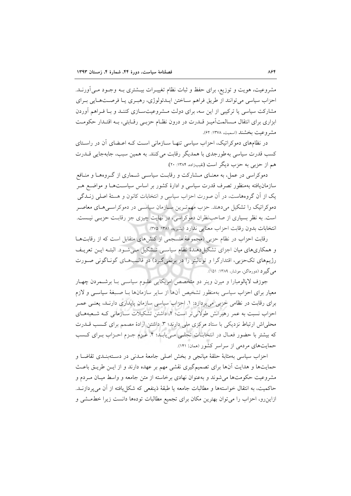مشروعیت، هویت و توزیع، برای حفظ و ثبات نظام تغییـرات بیــشتری بــه وجــود مــی|ورنــد. احزاب سیاسی می توانند از طریق فراهم سـاختن ایـدئولوژی، رهبـری یـا فرصـتهـایی بـرای مشارکت سیاسی یا ترکیبی از این سه، برای دولت مـشروعیتســازی کننــد و بــا فــراهم آوردن ابزاری برای انتقال مــسالمتآمیـز قــدرت در درون نظــام حزبـی رقــابتی، بــه اقتــدار حکومــت مشر وعيت بخشند (اسميت، ١٣٧٨: ۶۲).

در نظامهای دموکراتیک، احزاب سیاسی تنهـا سـازمانی اسـت کـه اعـضای آن در راسـتای كسب قدرت سياسي به طورجدي با همديگر رقابت مي كنند. به همين سبب، جابهجايي قــدرت هم از حزبي به حزب ديگر است (نقيبزاده، ١٣٨۴: ٢٠).

دموکراسی در عمل، به معنـای مــشارکت و رقابـت سیاســی شــماری از گــروههــا و منــافع سازمان یافته بهمنظور تصرف قدرت سیاسی و ادارهٔ کشور بر اساس سیاسـتهـا و مواضـع هـر یک از آن گروههاست، در آن صورت احزاب سیاسی و انتخابات کانون و هستهٔ اصلی زنــدگی دموکراتیک را تشکیل میدهند. حزب مهمترین سـازمان سیاسـی در دموکراسـیهـای معاصـر است. به نظر بسیاری از صاحب نظران دموکراسی، در نهایت چیزی جز رقابت حزبـی نیـست. انتخابات بدون رقابت احزاب معنايي ندارد (بشيريه، ١٣٨١: ٣٧٥).

رقابت احزاب در نظام حزبی (مجموعهٔ منسجمی از کنشهای متقابل است که از رقابتها و همکاریهای میان اجزای تشکیلدهندهٔ نظام سیاسی تـشکیل مـیشـود. البتـه ایـن تعریـف رژیمهای تکحزبی، اقتدارگرا و توتالیتر را در برنمیگیرد) در قالبهمای گونـاگونی صـورت می گیر د (دورماگن، موشار، ۱۳۸۹: ۱۵۱).

جوزف لایالومبارا و میرن وینر دو متخصص امریکایی علیوم سیاستی بـا برشـمردن چهـار معیار برای احزاب سیاسی بهمنظور تشخیص آنها از سایر سازمانها بـا صـبغهٔ سیاسـی و لازم برای رقابت در نظامی حزبی می پردازد: ۱. احزاب سیاسی سازمان پایداری دارنـد، یعنـی عمـر احزاب نسبت به عمر رهبرانش طولانی تر است؛ ۲. داشتن تشکیلات ســازمانی کــه شــعبههــای محلی اش ارتباط نزدیکی با ستاد مرکزی ملی دارند؛ ۳. داشتن ارادهٔ مصمم برای کسب قــدرت که بیشتر با حضور فعـال در انتخابـات تجلـی مـیbیابـد؛ ۴. عـزم جـزم احـزاب بـرای کـسب حمایتهای مردمی از سراسر کشور (ممان: ۱۴۱).

احزاب سياسي بهمثابهٔ حلقهٔ ميانجي و بخش اصلي جامعهٔ مـدني در دسـتهبنـدي تقاضـا و حمایتها و هدایت آنها برای تصمیمگیری نقشی مهم بر عهده دارند و از ایــن طریــق باعــث مشروعیت حکومتها می شوند و بهعنوان نهادی برخاسته از متن جامعه و واسط میـان مـردم و حاكميت، به انتقال خواستهها و مطالبات جامعه يا طبقهٔ ذينفعي كه شكل يافته از آن مي پردازنــد. ازاین رو، احزاب را می توان بهترین مکان برای تجمیع مطالبات تودهها دانست زیرا خطمشی و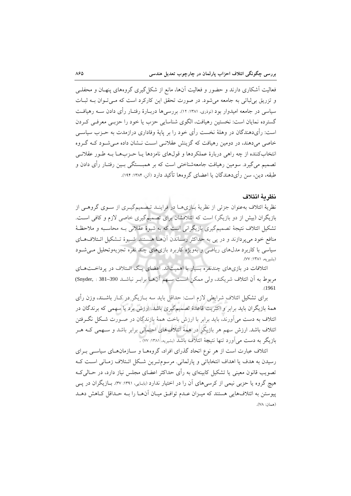فعالیت آشکاری دارند و حضور و فعالیت آنها، مانع از شکل گیری گروههای پنهـان و محفلــی و تزریق بی ثباتی به جامعه می شود. در صورت تحقق این کارکرد است که مبی تـوان بــه ثبــات سیاسی در جامعه امیدوار بود (نوذری، ۱۳۸۱: ۱۲). بررسی۵ها دربـارهٔ رفتـار رأی دادن ســه رهیافــت گسترده نمایان است: نخستین رهیافت، الگوی شناسایی حزب یا خود را حزبے معرفے کردن است: رأىدهندگان در وهلهٔ نخست رأى خود را بر پايهٔ وفادارى درازمدت به حــزب سياســي خاصی میدهند، در دومین رهیافت که گزینش عقلانی است نـشان داده مـی شـود کـه گـروه انتخابکننده از چه راهی دربارهٔ عملکردها و قولهای نامزدها یـا حــزبهــا بــه طــور عقلانــی تصمیم می گیرد. سومین رهیافت جامعهشناختی است که بر همبــستگی بــین رفتــار رأی دادن و طبقه، دین، سن رأیدهندگان یا اعضای گروهها تأکید دارد (آلن، ۱۳۸۴: ۱۹۴).

#### نظر بهٔ ائتلاف

نظریهٔ ائتلاف بهعنوان جزئی از نظریهٔ بـازیهـا در فراینـد تـصمیمگیـری از سـوی گروهـی از بازیگران (بیش از دو بازیگر) است که ائتلافشان برای تصمیمگیری خاصی لازم و کافی است. تشکیل ائتلاف نتیجهٔ تصمیمگیری بازیگرانی است که به شیوهٔ عقلانی بـه محاسـبه و ملاحظـهٔ منافع خود می یردازند و در پی به حداکثر رساندن آنها هستند. شیوهٔ تـشکیل ائـتلافهـای سیاسی با کاربرد مدل،های ریاضی و بهویژه کاربرد بازی،های چند نفره تجزیهوتحلیل می شـود (بشيريه، ١٣٨١: ٧٧).

ائتلافات در بازیهای چندنفره بسیار با اهمیتاند. اعضای یک ائتلاف در برداختهای مربوط به أن ائتلاف شريكند، ولي ممكن است سـهم أنهـا برابـر نباشـد 390–Snyder, : 381)  $(1961$ 

برای تشکیل ائتلاف شرایطی لازم است: حداقل باید سه بــازیگر در کــار باشــند، وزن رأی همهٔ بازیگران باید برابر و اکثریت قاعدهٔ تصمیمگیری باشد. ارزش برد یا سهمی که برندگان در ائتلاف به دست می آورند، باید برابر با ارزش باخت همهٔ بازندگان در صـورت شـکل نگـرفتن ائتلاف باشد. ارزش سهم هر بازیگر در همهٔ ائتلافهای احتمالی برابر باشد و سـهمی کـه هــر بازیگر به دست می آورد تنها نتیجهٔ ائتلاف باشد (بشیریه، ۱۳۸۱: w) .

ائتلاف عبارت است از هر نوع اتحاد گذرای افراد، گروههـا و سـازمانهـای سیاسـی بـرای رسیدن به هدف یا اهداف انتخاباتی و پارلمانی. مرسومتـرین شـکل ائـتلاف زمـانی اسـت کـه تصویب قانون معینی یا تشکیل کابینهای به رأی حداکثر اعضای مجلس نیاز دارد، در حـالی کـه هیچ گروه یا حزبی نیمی از کرسیهای آن را در اختیار ندارد (بابایی، ۱۳۹۱: ۳۷: بازیگران در پــی پیوستن به ائتلافهایی هستند که میـزان عـدم توافـق میـان آنهـا را بـه حـداقل کـاهش دهـد  $(VA - A)$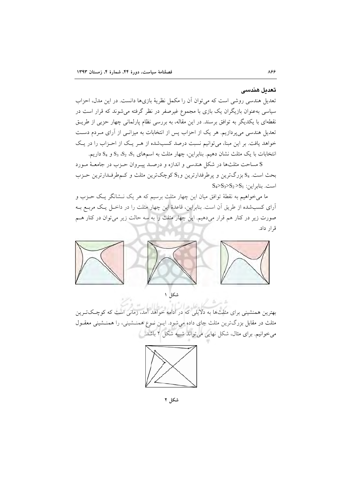#### تعدىل ھندسى

تعدیل هندسی روشی است که می توان آن را مکمل نظریهٔ بازیها دانست. در این مدل، احزاب سیاسی بهعنوان بازیگران یک بازی با مجموع غیرصفر در نظر گرفته میشوند که قرار است در نقطهای با یکدیگر به توافق برسند. در این مقاله، به بررسی نظام پارلمانی چهار حزبی از طریـق تعدیل هندسی می پردازیم. هر یک از احزاب پس از انتخابات به میزانـی از آرای مـردم دسـت خواهد یافت. بر این مبنا، می توانیم نسبت درصد کسبشده از هـر یـک از احـزاب را در یـک انتخابات با یک مثلث نشان دهیم. بنابراین، چهار مثلث به اسمهای S3 ، S3 و S4 داریم.

S مساحت مثلثها در شكل هندسي و اندازه و درصـد پيـروان حـزب در جامعـهٔ مـورد بحث است. S4 بزرگترین و پرطرفدارترین و S1 کوچکترین مثلث و کمطرفدارترین حـزب  $S_4 > S_3 > S_2 > S_1$ : است. بنابر این

ما میخواهیم به نقطهٔ توافق میان این چهار مثلث برسیم که هر یک نـشانگر یـک حــزب و آرای کسبشده از طریق آن است. بنابراین، قاعدهٔ این چهار مثلت را در داخـل یـک مربــع بــه صورت زیر در کنار هم قرار میدهیم. این چهار مثلث را به سه حالت زیر میتوان در کنار هــم قرار داد.



شکل ۱

بهترین همنشینی برای مثلثها به دلایلی که در ادامه خواهد آمد، زمانی است که کوچکت بین مثلث در مقابل بزرگترین مثلث جای داده میشود. ایـن نـوع همنـشینی، را همنـشینی معقـول می خوانیم. برای مثال، شکل نهایی می تواند شبیه شکل ۲ باشد.

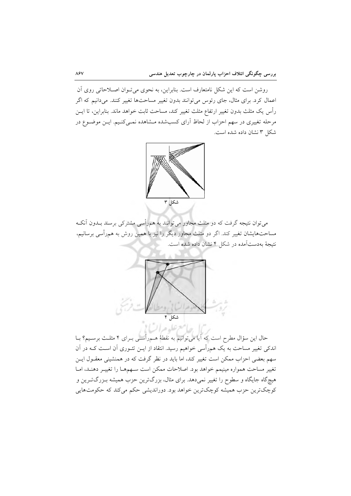روشن است که این شکل نامتعارف است. بنابراین، به نحوی میتوان اصـلاحاتی روی آن اعمال کرد. برای مثال، جای رئوس می توانند بدون تغییر مساحتها تغییر کنند. می دانیم که اگر رأس يک مثلث بدون تغيير ارتفاع مثلث تغيير کند، مساحت ثابت خواهد ماند. بنابراين، تا ايــن مرحله تغییری در سهم احزاب از لحاظ آرای کسبشده مـشاهده نمـیکنـیم. ایـن موضـوع در شکل ۳ نشان داده شده است.



می توان نتیجه گرفت که دو مثلث مجاور می توانند به همراًسی مشترکی برسند بــدون اَنکــه مساحتهایشان تغییر کند. اگر دو مثلث مجاور دیگر را نیز با همین روش به همرأسی برسانیم، نتیجهٔ بهدستآمده در شکل ۴ نشان داده شده است.



حال این سؤال مطرح است که آیا می توانیم به نقطهٔ هــمرأســی بــرای ۴ مثلــث برسـیـم؟ بــا اندکی تغییر مساحت به یک همرأسی خواهیم رسید. انتقاد از ایــن تئــوری آن اســت کــه در آن سهم بعضی احزاب ممکن است تغییر کند، اما باید در نظر گرفت که در همنشینی معقـول ایــن تغيير مساحت همواره مينيمم خواهد بود. اصلاحات ممكن است سـهمهـا را تغييـر دهنـد، امـا هیچگاه جایگاه و سطوح را تغییر نمیدهد. برای مثال، بزرگترین حزب همیشه بـزرگتــرین و کوچکترین حزب همیشه کوچکترین خواهد بود. دوراندیشی حکم میکند که حکومتهایی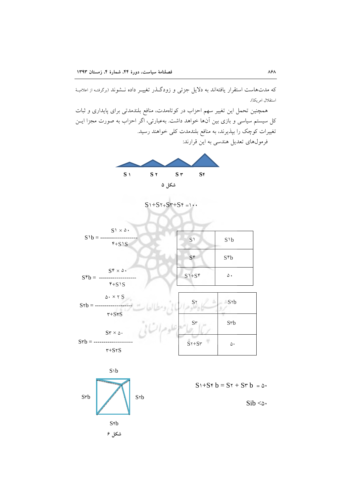که مدتهاست استقرار یافتهاند به دلایل جزئی و زودگـذر تغییـر داده نــشوند (برگرفتـه از اعلامیـهٔ استقلال امريكا).

همچنین تحمل این تغییر سهم احزاب در کوتاهمدت، منافع بلندمدتی برای پایداری و ثبات کل سیستم سیاسی و بازی بین آنها خواهد داشت. بهعبارتی، اگر احزاب به صورت مجزا ایــن تغییرات کوچک را بپذیرند، به منافع بلندمدت کلی خواهند رسید.



فرمولهای تعدیل هندسی به این قرارند: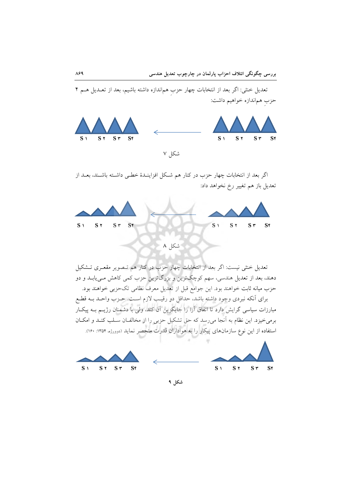

اگر بعد از انتخابات چهار حزب در کنار هم شکل افزاینـدهٔ خطـی داشـته باشـند، بعـد از تعدیل باز هم تغییر رخ نخواهد داد:



تعدیل خنثی نیست: اگر بعد از انتخابات چهار حزب در کنار هم تـصویر مقعـری تـشکیل دهند، بعد از تعدیل هندسی، سهم کوچکترین و بزرگترین حزب کمی کاهش مـییابـد و دو حزب میانه ثابت خواهند بود. این جوامع قبل از تعدیل معرف نظامی تکحزبی خواهند بود. برای أنکه نبردی وجود داشته باشد، حداقل دو رقیب لازم است. حـزب واحـد بــه قطـع مبارزات سیاسی گرایش دارد تا اتفاق آرا را جایگزین آن کند، ولی با دشمنان رژیــم بــه پیکـار برمیخیزد. این نظام به آنجا می٫سد که حق تشکیل حزبی را از مخالفـان سـلب کنـد و امکـان استفاده از این نوع سازمانهای پیکار را به هواداران قدرت منحصر نماید (دوورژه، ۱۳۵۴: ۱۶۰).



شکل ۹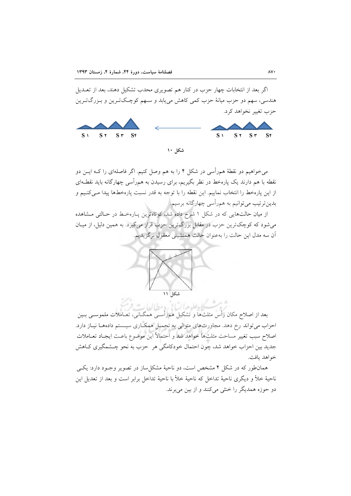اگر بعد از انتخابات چهار حزب در کنار هم تصویری محدب تشکیل دهند، بعد از تعــدیل هندسي، سهم دو حزب ميانهٔ حزب کمي کاهش مي يابد و سـهم کوچـکتـرين و بـزرگتـرين حزب تغییر نخواهد کرد.



میخواهیم دو نقطهٔ هم٫رأسی در شکل ۴ را به هم وصل کنیم. اگر فاصلهای را کــه ایــن دو نقطه با هم دارند یک پارهخط در نظر بگیریم، برای رسیدن به هم٫رأسی چهارگانه باید نقطـهای از اين پارهخط را انتخاب نماييم. اين نقطه را با توجه به قدر نسبت پارهخطها پيدا مـيكنـيم و بدین ترتیب می توانیم به همرأسی چهارگانه برسیم.

از میان حالتهایی که در شکل ۱ شرح داده شد، کوتاهترین پارهخط در حـالتی مـشاهده می شود که کوچک ترین حزب در مقابل بزرگ ترین حزب قرار می گیرد. به همین دلیل، از میـان آن سه مدل این حالت را بهعنوان حالت همنشینی معقول برگزیدیم.



كادعلوم السابي ومطالعايه .<br>بعد از اصلاح مکان رأس مثلثها و تشکیل همرأســي همگــاني، تعــاملات ملموســي بــين احزاب می تواند رخ دهد. مجاورتهای متوالی به تحمیل همکاری سیستم دادههـا نیـاز دارد. اصلاح سبب تغيير مساحت مثلثها خواهد شد و احتمالاً اين موضوع باعـث ايجـاد تعــاملات جدید بین احزاب خواهد شد، چون احتمال خودکامگی هر حزب به نحو چـشمگیری کـاهش خواهد يافت.

همانطور که در شکل ۴ مشخص است، دو ناحیهٔ مشکل ساز در تصویر وجـود دارد: یکـی ناحيهٔ خلأ و ديگري ناحيهٔ تداخل كه ناحيهٔ خلأ با ناحيهٔ تداخل برابر است و بعد از تعديل اين دو حوزه همديگر را خنثي مي كنند و از بين مي برند.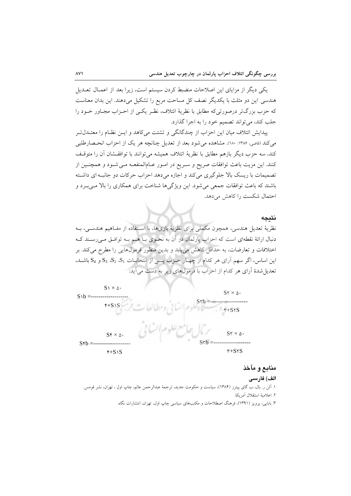یکی دیگر از مزایای این اصلاحات منضبط کردن سیستم است، زیرا بعد از اعمـال تعـدیل هندسی این دو مثلث با یکدیگر نصف کل مساحت مربع را تشکیل میدهند. این بدان معناست که حزب بزرگتر درصورتیکه مطابق با نظریهٔ ائتلاف، نظـر یکـی از احـزاب مجـاور خــود را جلب کند، می تواند تصمیم خود را به اجرا گذارد.

پیدایش ائتلاف میان این احزاب از چندگانگی و تشتت می کاهد و ایــن نظــام را معتــدلَّ تــر مي كند (قاضي، ١٣٨۶: ١٨٠). مشاهده مي شود بعد از تعديل چنانچه هر يک از احزاب انحــصارطلبي كند، سه حزب ديگر بازهم مطابق با نظريهٔ ائتلاف هميشه مي توانند با توافقـشان آن را متوقـف كنند. اين مزيت باعث توافقات صريح و سـريع در امـور عـامالمنفعـه مـي شـود و همچنـين از تصمیمات با ریسک بالا جلوگیری میکند و اجازه میدهد احزاب حرکات دو جانبه ای داشته باشند که باعث توافقات جمعی می شود. این ویژگیها شناخت برای همکاری را بالا می بور و احتمال شکست را کاهش می دهد.

#### نتىجە

نظريهٔ تعديل هندسي، همچون مكملي براي نظريهٔ بازيها، با استفاده از مفـاهيم هندسـي، بـه دنبال ارائهٔ نقطهای است که احزاب پارلمان در آن به نحـوی بــا هــم بــه توافــق مــی(ســند کــه اختلافات و تعارضات، به حداقل کاهش می پابد و بدین منظور فرمولهایی را مطرح می کند. بر این اساس، اگر سهم آرای هر کدام از چهـار حـزب پـس از انتخابــات S3 ، S3 ، S3 و S4 باشــد، تعدیل شدهٔ آرای هر کدام از احزاب با فرمولهای زیر به دست می آید:



## منابع و مآخذ

#### الف) فارسے

١. ألن ر. بال، ب گاي پيترز (١٣٨۴)، سياست و حكومت جديد، ترجمهٔ عبدالرحمن عالم، چاپ اول ، تهران، نشر قومس. ٢. اعلامية استقلال آمريكا. ۳. بابایی، پرویز (۱۳۹۱)، فرهنگ اصطلاحات و مکتبهای سیاسی چاپ اول، تهران، انتشارات نگاه.